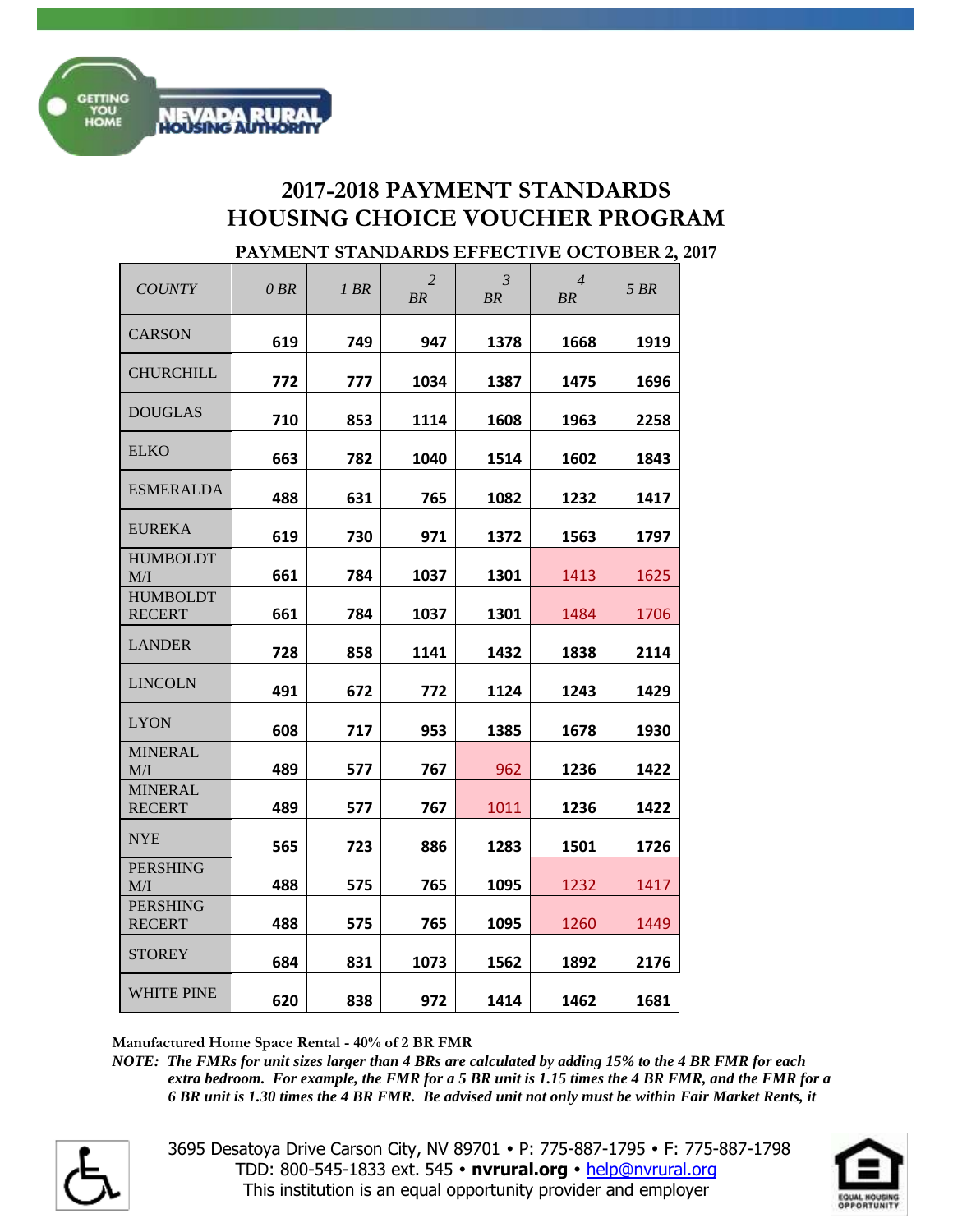

## **2017-2018 PAYMENT STANDARDS HOUSING CHOICE VOUCHER PROGRAM**

## **PAYMENT STANDARDS EFFECTIVE OCTOBER 2, 2017**

| <b>COUNTY</b>                    | $0$ $BR$ | 1 BR | 2<br>BR | $\mathfrak{Z}$<br>BR | $\overline{4}$<br>BR | 5 BR |
|----------------------------------|----------|------|---------|----------------------|----------------------|------|
| CARSON                           | 619      | 749  | 947     | 1378                 | 1668                 | 1919 |
| CHURCHILL                        | 772      | 777  | 1034    | 1387                 | 1475                 | 1696 |
| <b>DOUGLAS</b>                   | 710      | 853  | 1114    | 1608                 | 1963                 | 2258 |
| <b>ELKO</b>                      | 663      | 782  | 1040    | 1514                 | 1602                 | 1843 |
| <b>ESMERALDA</b>                 | 488      | 631  | 765     | 1082                 | 1232                 | 1417 |
| <b>EUREKA</b>                    | 619      | 730  | 971     | 1372                 | 1563                 | 1797 |
| <b>HUMBOLDT</b><br>M/I           | 661      | 784  | 1037    | 1301                 | 1413                 | 1625 |
| <b>HUMBOLDT</b><br><b>RECERT</b> | 661      | 784  | 1037    | 1301                 | 1484                 | 1706 |
| <b>LANDER</b>                    | 728      | 858  | 1141    | 1432                 | 1838                 | 2114 |
| LINCOLN                          | 491      | 672  | 772     | 1124                 | 1243                 | 1429 |
| <b>LYON</b>                      | 608      | 717  | 953     | 1385                 | 1678                 | 1930 |
| <b>MINERAL</b><br>M/I            | 489      | 577  | 767     | 962                  | 1236                 | 1422 |
| <b>MINERAL</b><br><b>RECERT</b>  | 489      | 577  | 767     | 1011                 | 1236                 | 1422 |
| NYE                              | 565      | 723  | 886     | 1283                 | 1501                 | 1726 |
| PERSHING<br>M/I                  | 488      | 575  | 765     | 1095                 | 1232                 | 1417 |
| <b>PERSHING</b><br><b>RECERT</b> | 488      | 575  | 765     | 1095                 | 1260                 | 1449 |
| <b>STOREY</b>                    | 684      | 831  | 1073    | 1562                 | 1892                 | 2176 |
| WHITE PINE                       | 620      | 838  | 972     | 1414                 | 1462                 | 1681 |

**Manufactured Home Space Rental - 40% of 2 BR FMR**

*NOTE: The FMRs for unit sizes larger than 4 BRs are calculated by adding 15% to the 4 BR FMR for each extra bedroom. For example, the FMR for a 5 BR unit is 1.15 times the 4 BR FMR, and the FMR for a 6 BR unit is 1.30 times the 4 BR FMR. Be advised unit not only must be within Fair Market Rents, it*



3695 Desatoya Drive Carson City, NV 89701 P: 775-887-1795 F: 775-887-1798 TDD: 800-545-1833 ext. 545 **nvrural.org** [help@nvrural.org](mailto:help@nvrural.org) This institution is an equal opportunity provider and employer